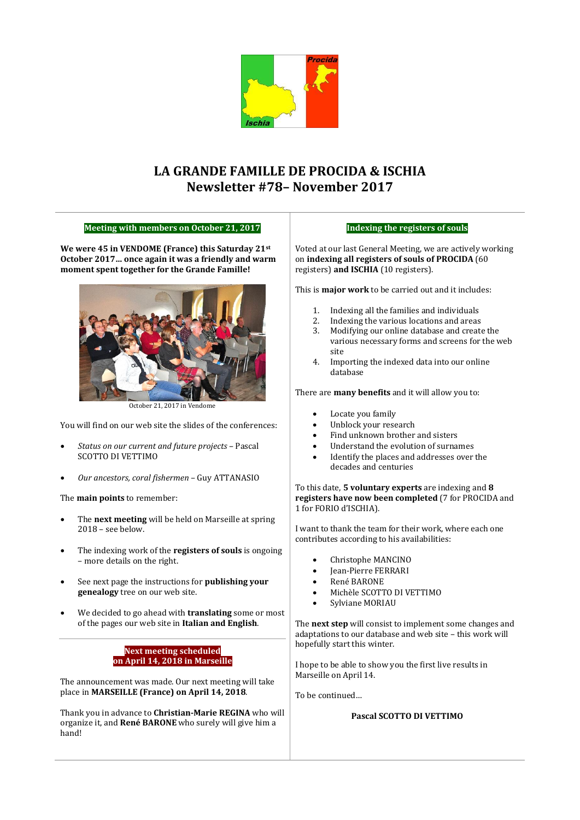

# **LA GRANDE FAMILLE DE PROCIDA & ISCHIA Newsletter #78– November 2017**

## **Meeting with members on October 21, 2017**

**We were 45 in VENDOME (France) this Saturday 21st October 2017… once again it was a friendly and warm moment spent together for the Grande Famille!**



October 21, 2017 in Vendome

You will find on our web site the slides of the conferences:

- *Status on our current and future projects* Pascal SCOTTO DI VETTIMO
- *Our ancestors, coral fishermen*  Guy ATTANASIO

The **main points** to remember:

- The **next meeting** will be held on Marseille at spring 2018 – see below.
- The indexing work of the **registers of souls** is ongoing – more details on the right.
- See next page the instructions for **publishing your genealogy** tree on our web site.
- We decided to go ahead with **translating** some or most of the pages our web site in **Italian and English**.

## **Next meeting scheduled on April 14, 2018 in Marseille**

The announcement was made. Our next meeting will take place in **MARSEILLE (France) on April 14, 2018**.

Thank you in advance to **Christian-Marie REGINA** who will organize it, and **René BARONE** who surely will give him a hand!

#### **Indexing the registers of souls**

Voted at our last General Meeting, we are actively working on **indexing all registers of souls of PROCIDA** (60 registers) **and ISCHIA** (10 registers).

This is **major work** to be carried out and it includes:

- 1. Indexing all the families and individuals
- 2. Indexing the various locations and areas
- 3. Modifying our online database and create the various necessary forms and screens for the web site
- 4. Importing the indexed data into our online database

There are **many benefits** and it will allow you to:

- Locate you family
- Unblock your research
- Find unknown brother and sisters
- Understand the evolution of surnames
- Identify the places and addresses over the decades and centuries

#### To this date, **5 voluntary experts** are indexing and **8 registers have now been completed** (7 for PROCIDA and 1 for FORIO d'ISCHIA).

I want to thank the team for their work, where each one contributes according to his availabilities:

- Christophe MANCINO
- Jean-Pierre FERRARI
- René BARONE
- Michèle SCOTTO DI VETTIMO
- Sylviane MORIAU

The **next step** will consist to implement some changes and adaptations to our database and web site – this work will hopefully start this winter.

I hope to be able to show you the first live results in Marseille on April 14.

To be continued…

## **Pascal SCOTTO DI VETTIMO**